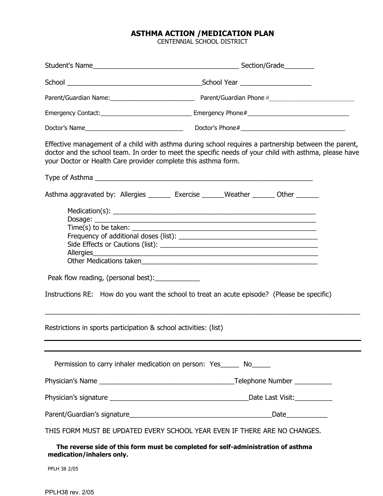## ASTHMA ACTION /MEDICATION PLAN

CENTENNIAL SCHOOL DISTRICT

|                                                                                                                | Parent/Guardian Name: 1990 March 2010 March 2010 March 2010 March 2010 March 2010 March 2010 March 2010 March 20                                                                                               |  |
|----------------------------------------------------------------------------------------------------------------|----------------------------------------------------------------------------------------------------------------------------------------------------------------------------------------------------------------|--|
|                                                                                                                |                                                                                                                                                                                                                |  |
|                                                                                                                |                                                                                                                                                                                                                |  |
| your Doctor or Health Care provider complete this asthma form.                                                 | Effective management of a child with asthma during school requires a partnership between the parent,<br>doctor and the school team. In order to meet the specific needs of your child with asthma, please have |  |
| Asthma aggravated by: Allergies _______ Exercise ______Weather ______ Other ______                             |                                                                                                                                                                                                                |  |
| $Time(s)$ to be taken:                                                                                         |                                                                                                                                                                                                                |  |
| Peak flow reading, (personal best): ______________                                                             |                                                                                                                                                                                                                |  |
| Instructions RE: How do you want the school to treat an acute episode? (Please be specific)                    |                                                                                                                                                                                                                |  |
| Restrictions in sports participation & school activities: (list)                                               |                                                                                                                                                                                                                |  |
| Permission to carry inhaler medication on person: Yes______ No_____                                            |                                                                                                                                                                                                                |  |
|                                                                                                                |                                                                                                                                                                                                                |  |
|                                                                                                                |                                                                                                                                                                                                                |  |
|                                                                                                                |                                                                                                                                                                                                                |  |
| THIS FORM MUST BE UPDATED EVERY SCHOOL YEAR EVEN IF THERE ARE NO CHANGES.                                      |                                                                                                                                                                                                                |  |
| The reverse side of this form must be completed for self-administration of asthma<br>medication/inhalers only. |                                                                                                                                                                                                                |  |

PPLH 38 2/05